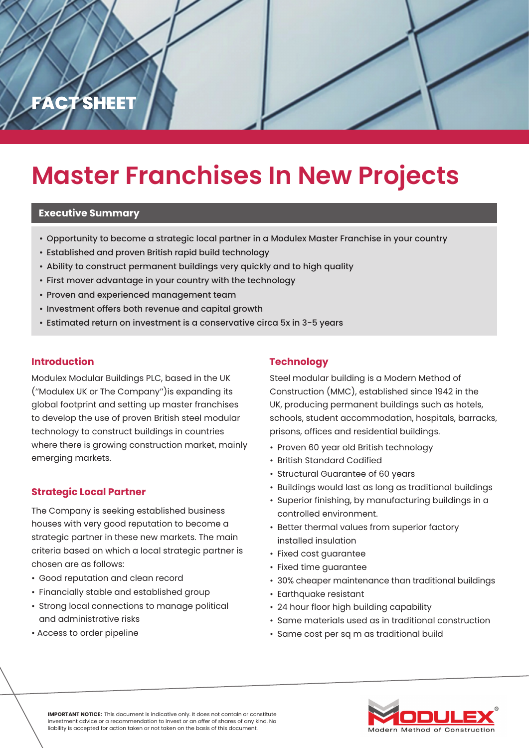

# **Master Franchises In New Projects**

### **Executive Summary**

- Opportunity to become a strategic local partner in a Modulex Master Franchise in your country
- Established and proven British rapid build technology
- Ability to construct permanent buildings very quickly and to high quality
- First mover advantage in your country with the technology
- Proven and experienced management team
- Investment offers both revenue and capital growth
- Estimated return on investment is a conservative circa 5x in 3-5 years

#### **Introduction Technology**

Modulex Modular Buildings PLC, based in the UK (''Modulex UK or The Company'')is expanding its global footprint and setting up master franchises to develop the use of proven British steel modular technology to construct buildings in countries where there is growing construction market, mainly emerging markets.

#### **Strategic Local Partner**

The Company is seeking established business houses with very good reputation to become a strategic partner in these new markets. The main criteria based on which a local strategic partner is chosen are as follows:

- Good reputation and clean record
- Financially stable and established group
- Strong local connections to manage political and administrative risks
- Access to order pipeline

Steel modular building is a Modern Method of Construction (MMC), established since 1942 in the UK, producing permanent buildings such as hotels, schools, student accommodation, hospitals, barracks, prisons, offices and residential buildings.

- Proven 60 year old British technology
- British Standard Codified
- Structural Guarantee of 60 years
- Buildings would last as long as traditional buildings
- Superior finishing, by manufacturing buildings in a controlled environment.
- Better thermal values from superior factory installed insulation
- Fixed cost guarantee
- Fixed time guarantee
- 30% cheaper maintenance than traditional buildings
- Earthquake resistant
- 24 hour floor high building capability
- Same materials used as in traditional construction
- Same cost per sq m as traditional build



**IMPORTANT NOTICE:** This document is indicative only. It does not contain or constitute investment advice or a recommendation to invest or an offer of shares of any kind. No liability is accepted for action taken or not taken on the basis of this document.